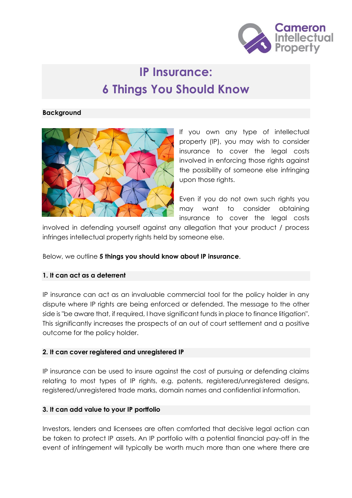

# **IP Insurance: 6 Things You Should Know**

#### **Background**



If you own any type of intellectual property (IP), you may wish to consider insurance to cover the legal costs involved in enforcing those rights against the possibility of someone else infringing upon those rights.

Even if you do not own such rights you may want to consider obtaining insurance to cover the legal costs

involved in defending yourself against any allegation that your product / process infringes intellectual property rights held by someone else.

Below, we outline **5 things you should know about IP insurance**.

## **1. It can act as a deterrent**

IP insurance can act as an invaluable commercial tool for the policy holder in any dispute where IP rights are being enforced or defended. The message to the other side is "be aware that, if required, I have significant funds in place to finance litigation". This significantly increases the prospects of an out of court settlement and a positive outcome for the policy holder.

## **2. It can cover registered and unregistered IP**

IP insurance can be used to insure against the cost of pursuing or defending claims relating to most types of IP rights, e.g. patents, registered/unregistered designs, registered/unregistered trade marks, domain names and confidential information.

#### **3. It can add value to your IP portfolio**

Investors, lenders and licensees are often comforted that decisive legal action can be taken to protect IP assets. An IP portfolio with a potential financial pay-off in the event of infringement will typically be worth much more than one where there are